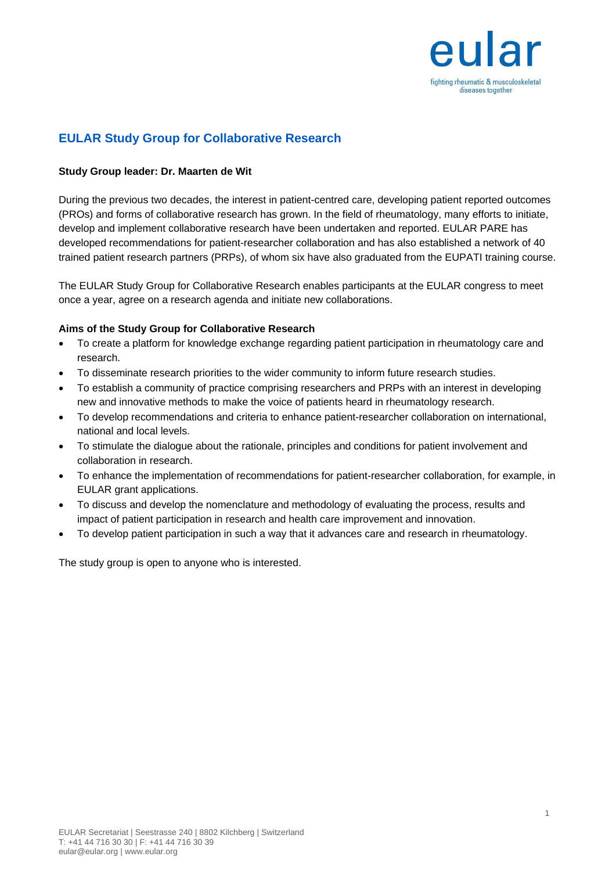

## **EULAR Study Group for Collaborative Research**

## **Study Group leader: Dr. Maarten de Wit**

During the previous two decades, the interest in patient-centred care, developing patient reported outcomes (PROs) and forms of collaborative research has grown. In the field of rheumatology, many efforts to initiate, develop and implement collaborative research have been undertaken and reported. EULAR PARE has developed recommendations for patient-researcher collaboration and has also established a network of 40 trained patient research partners (PRPs), of whom six have also graduated from the EUPATI training course.

The EULAR Study Group for Collaborative Research enables participants at the EULAR congress to meet once a year, agree on a research agenda and initiate new collaborations.

## **Aims of the Study Group for Collaborative Research**

- To create a platform for knowledge exchange regarding patient participation in rheumatology care and research.
- To disseminate research priorities to the wider community to inform future research studies.
- To establish a community of practice comprising researchers and PRPs with an interest in developing new and innovative methods to make the voice of patients heard in rheumatology research.
- To develop recommendations and criteria to enhance patient-researcher collaboration on international, national and local levels.
- To stimulate the dialogue about the rationale, principles and conditions for patient involvement and collaboration in research.
- To enhance the implementation of recommendations for patient-researcher collaboration, for example, in EULAR grant applications.
- To discuss and develop the nomenclature and methodology of evaluating the process, results and impact of patient participation in research and health care improvement and innovation.
- To develop patient participation in such a way that it advances care and research in rheumatology.

The study group is open to anyone who is interested.